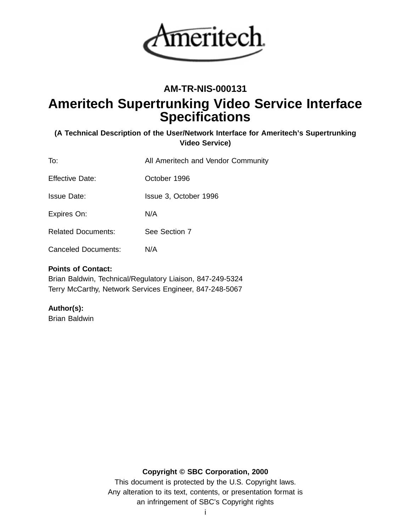

# **AM-TR-NIS-000131**

# **Ameritech Supertrunking Video Service Interface Specifications**

# **(A Technical Description of the User/Network Interface for Ameritech's Supertrunking Video Service)**

| To:                       | All Ameritech and Vendor Community |
|---------------------------|------------------------------------|
| Effective Date:           | October 1996                       |
| Issue Date:               | Issue 3, October 1996              |
| Expires On:               | N/A                                |
| <b>Related Documents:</b> | See Section 7                      |
| Canceled Documents:       | N/A                                |

### **Points of Contact:**

Brian Baldwin, Technical/Regulatory Liaison, 847-249-5324 Terry McCarthy, Network Services Engineer, 847-248-5067

# **Author(s):**

Brian Baldwin

# **Copyright © SBC Corporation, 2000**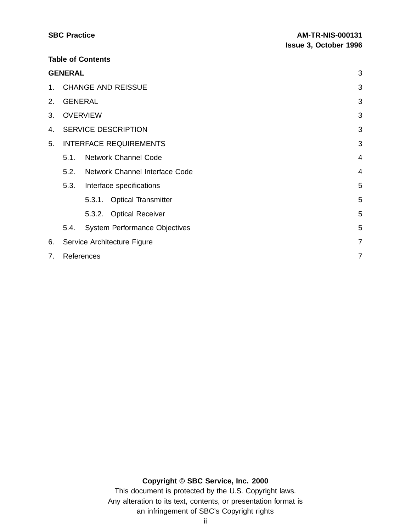|         | <b>SBC Practice</b>                    |                          |                                      | <b>AM-TR-NIS-000131</b><br>Issue 3, October 1996 |
|---------|----------------------------------------|--------------------------|--------------------------------------|--------------------------------------------------|
|         |                                        | <b>Table of Contents</b> |                                      |                                                  |
|         | <b>GENERAL</b>                         |                          |                                      | 3                                                |
| $1_{-}$ | <b>CHANGE AND REISSUE</b>              |                          |                                      | 3                                                |
| 2.      | <b>GENERAL</b>                         |                          |                                      | 3                                                |
| 3.      |                                        | <b>OVERVIEW</b>          |                                      | 3                                                |
| 4.      | SERVICE DESCRIPTION                    |                          |                                      | 3                                                |
| 5.      | <b>INTERFACE REQUIREMENTS</b>          |                          |                                      | 3                                                |
|         | <b>Network Channel Code</b><br>5.1.    |                          |                                      | 4                                                |
|         | Network Channel Interface Code<br>5.2. |                          | 4                                    |                                                  |
|         | 5.3.<br>Interface specifications       |                          |                                      | 5                                                |
|         |                                        |                          | 5.3.1. Optical Transmitter           | 5                                                |
|         |                                        |                          | 5.3.2. Optical Receiver              | 5                                                |
|         | 5.4.                                   |                          | <b>System Performance Objectives</b> | 5                                                |
| 6.      | Service Architecture Figure            |                          | 7                                    |                                                  |
| 7.      | References                             |                          |                                      | 7                                                |

#### **Copyright © SBC Service, Inc. 2000**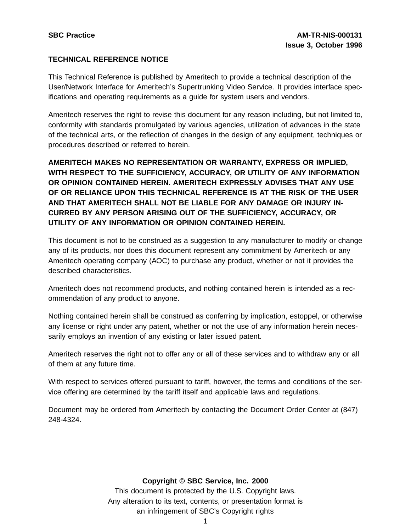#### **TECHNICAL REFERENCE NOTICE**

This Technical Reference is published by Ameritech to provide a technical description of the User/Network Interface for Ameritech's Supertrunking Video Service. It provides interface specifications and operating requirements as a guide for system users and vendors.

Ameritech reserves the right to revise this document for any reason including, but not limited to, conformity with standards promulgated by various agencies, utilization of advances in the state of the technical arts, or the reflection of changes in the design of any equipment, techniques or procedures described or referred to herein.

**AMERITECH MAKES NO REPRESENTATION OR WARRANTY, EXPRESS OR IMPLIED, WITH RESPECT TO THE SUFFICIENCY, ACCURACY, OR UTILITY OF ANY INFORMATION OR OPINION CONTAINED HEREIN. AMERITECH EXPRESSLY ADVISES THAT ANY USE OF OR RELIANCE UPON THIS TECHNICAL REFERENCE IS AT THE RISK OF THE USER AND THAT AMERITECH SHALL NOT BE LIABLE FOR ANY DAMAGE OR INJURY IN-CURRED BY ANY PERSON ARISING OUT OF THE SUFFICIENCY, ACCURACY, OR UTILITY OF ANY INFORMATION OR OPINION CONTAINED HEREIN.**

This document is not to be construed as a suggestion to any manufacturer to modify or change any of its products, nor does this document represent any commitment by Ameritech or any Ameritech operating company (AOC) to purchase any product, whether or not it provides the described characteristics.

Ameritech does not recommend products, and nothing contained herein is intended as a recommendation of any product to anyone.

Nothing contained herein shall be construed as conferring by implication, estoppel, or otherwise any license or right under any patent, whether or not the use of any information herein necessarily employs an invention of any existing or later issued patent.

Ameritech reserves the right not to offer any or all of these services and to withdraw any or all of them at any future time.

With respect to services offered pursuant to tariff, however, the terms and conditions of the service offering are determined by the tariff itself and applicable laws and regulations.

Document may be ordered from Ameritech by contacting the Document Order Center at (847) 248-4324.

#### **Copyright © SBC Service, Inc. 2000**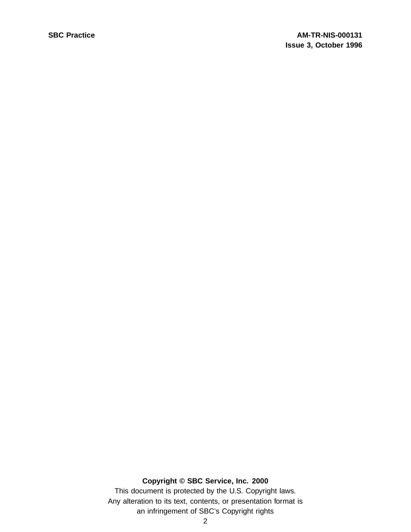# **Copyright © SBC Service, Inc. 2000**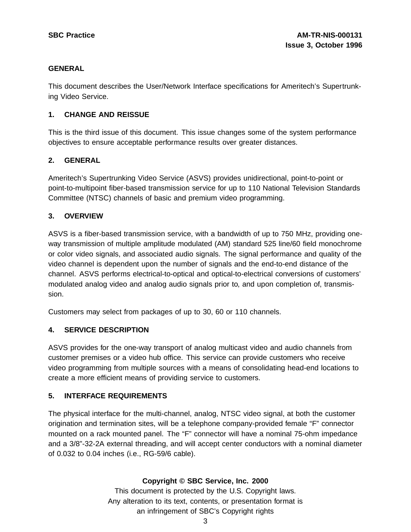#### **GENERAL**

This document describes the User/Network Interface specifications for Ameritech's Supertrunking Video Service.

#### **1. CHANGE AND REISSUE**

This is the third issue of this document. This issue changes some of the system performance objectives to ensure acceptable performance results over greater distances.

#### **2. GENERAL**

Ameritech's Supertrunking Video Service (ASVS) provides unidirectional, point-to-point or point-to-multipoint fiber-based transmission service for up to 110 National Television Standards Committee (NTSC) channels of basic and premium video programming.

### **3. OVERVIEW**

ASVS is a fiber-based transmission service, with a bandwidth of up to 750 MHz, providing oneway transmission of multiple amplitude modulated (AM) standard 525 line/60 field monochrome or color video signals, and associated audio signals. The signal performance and quality of the video channel is dependent upon the number of signals and the end-to-end distance of the channel. ASVS performs electrical-to-optical and optical-to-electrical conversions of customers' modulated analog video and analog audio signals prior to, and upon completion of, transmission.

Customers may select from packages of up to 30, 60 or 110 channels.

#### **4. SERVICE DESCRIPTION**

ASVS provides for the one-way transport of analog multicast video and audio channels from customer premises or a video hub office. This service can provide customers who receive video programming from multiple sources with a means of consolidating head-end locations to create a more efficient means of providing service to customers.

#### **5. INTERFACE REQUIREMENTS**

The physical interface for the multi-channel, analog, NTSC video signal, at both the customer origination and termination sites, will be a telephone company-provided female "F" connector mounted on a rack mounted panel. The "F" connector will have a nominal 75-ohm impedance and a 3/8"-32-2A external threading, and will accept center conductors with a nominal diameter of 0.032 to 0.04 inches (i.e., RG-59/6 cable).

#### **Copyright © SBC Service, Inc. 2000**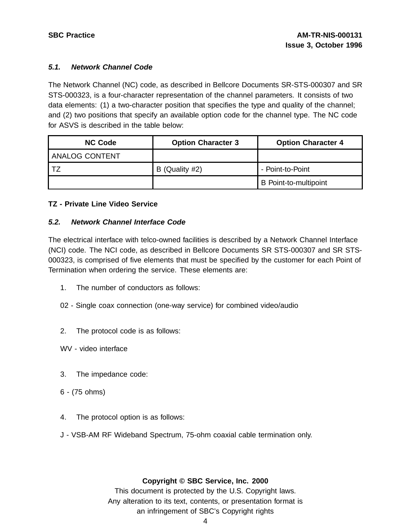#### **5.1. Network Channel Code**

The Network Channel (NC) code, as described in Bellcore Documents SR-STS-000307 and SR STS-000323, is a four-character representation of the channel parameters. It consists of two data elements: (1) a two-character position that specifies the type and quality of the channel; and (2) two positions that specify an available option code for the channel type. The NC code for ASVS is described in the table below:

| <b>NC Code</b>        | <b>Option Character 3</b> | <b>Option Character 4</b> |
|-----------------------|---------------------------|---------------------------|
| <b>ANALOG CONTENT</b> |                           |                           |
| I TZ                  | B (Quality #2)            | - Point-to-Point          |
|                       |                           | B Point-to-multipoint     |

#### **TZ - Private Line Video Service**

#### **5.2. Network Channel Interface Code**

The electrical interface with telco-owned facilities is described by a Network Channel Interface (NCI) code. The NCI code, as described in Bellcore Documents SR STS-000307 and SR STS-000323, is comprised of five elements that must be specified by the customer for each Point of Termination when ordering the service. These elements are:

- 1. The number of conductors as follows:
- 02 Single coax connection (one-way service) for combined video/audio
- 2. The protocol code is as follows:
- WV video interface
- 3. The impedance code:
- 6 (75 ohms)
- 4. The protocol option is as follows:
- J VSB-AM RF Wideband Spectrum, 75-ohm coaxial cable termination only.

#### **Copyright © SBC Service, Inc. 2000**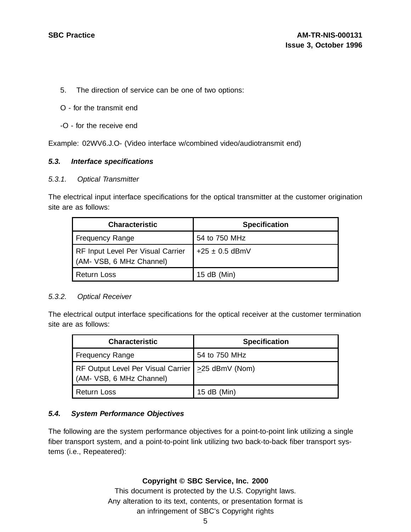- 5. The direction of service can be one of two options:
- O for the transmit end
- -O for the receive end

Example: 02WV6.J.O- (Video interface w/combined video/audiotransmit end)

#### **5.3. Interface specifications**

#### 5.3.1. Optical Transmitter

The electrical input interface specifications for the optical transmitter at the customer origination site are as follows:

| <b>Characteristic</b>                                         | <b>Specification</b> |
|---------------------------------------------------------------|----------------------|
| <b>Frequency Range</b>                                        | 54 to 750 MHz        |
| RF Input Level Per Visual Carrier<br>(AM- VSB, 6 MHz Channel) | $+25 \pm 0.5$ dBmV   |
| l Return Loss                                                 | 15 dB (Min)          |

#### 5.3.2. Optical Receiver

The electrical output interface specifications for the optical receiver at the customer termination site are as follows:

| <b>Characteristic</b>                                          | <b>Specification</b> |
|----------------------------------------------------------------|----------------------|
| <b>Frequency Range</b>                                         | 54 to 750 MHz        |
| RF Output Level Per Visual Carrier<br>(AM- VSB, 6 MHz Channel) | >25 dBmV (Nom)       |
| Return Loss                                                    | 15 dB (Min)          |

### **5.4. System Performance Objectives**

The following are the system performance objectives for a point-to-point link utilizing a single fiber transport system, and a point-to-point link utilizing two back-to-back fiber transport systems (i.e., Repeatered):

#### **Copyright © SBC Service, Inc. 2000**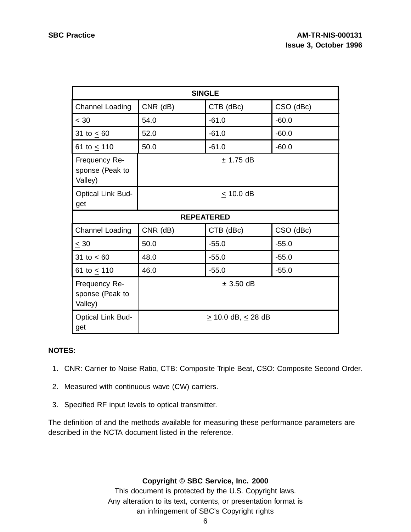| <b>SINGLE</b>                               |                        |             |           |  |  |
|---------------------------------------------|------------------------|-------------|-----------|--|--|
| <b>Channel Loading</b>                      | $CNR$ ( $dB$ )         | CTB (dBc)   | CSO (dBc) |  |  |
| $\leq 30$                                   | 54.0                   | $-61.0$     | $-60.0$   |  |  |
| 31 to $\leq 60$                             | 52.0                   | $-61.0$     | $-60.0$   |  |  |
| 61 to $\leq$ 110                            | 50.0                   | $-61.0$     | $-60.0$   |  |  |
| Frequency Re-<br>sponse (Peak to<br>Valley) |                        | $± 1.75$ dB |           |  |  |
| <b>Optical Link Bud-</b><br>get             | $< 10.0$ dB            |             |           |  |  |
| <b>REPEATERED</b>                           |                        |             |           |  |  |
| <b>Channel Loading</b>                      | CNR (dB)               | CTB (dBc)   | CSO (dBc) |  |  |
| $\leq 30$                                   | 50.0                   | $-55.0$     | $-55.0$   |  |  |
| 31 to $\leq 60$                             | 48.0                   | $-55.0$     | $-55.0$   |  |  |
| 61 to $\leq$ 110                            | 46.0                   | $-55.0$     | $-55.0$   |  |  |
| Frequency Re-<br>sponse (Peak to<br>Valley) |                        | $± 3.50$ dB |           |  |  |
| <b>Optical Link Bud-</b><br>get             | $> 10.0$ dB, $<$ 28 dB |             |           |  |  |

#### **NOTES:**

- 1. CNR: Carrier to Noise Ratio, CTB: Composite Triple Beat, CSO: Composite Second Order.
- 2. Measured with continuous wave (CW) carriers.
- 3. Specified RF input levels to optical transmitter.

The definition of and the methods available for measuring these performance parameters are described in the NCTA document listed in the reference.

#### **Copyright © SBC Service, Inc. 2000**